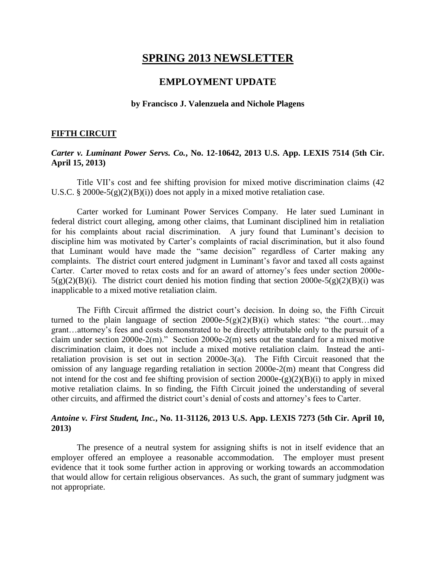# **SPRING 2013 NEWSLETTER**

# **EMPLOYMENT UPDATE**

#### **by Francisco J. Valenzuela and Nichole Plagens**

#### **FIFTH CIRCUIT**

### *Carter v. Luminant Power Servs. Co.***, No. 12-10642, 2013 U.S. App. LEXIS 7514 (5th Cir. April 15, 2013)**

Title VII's cost and fee shifting provision for mixed motive discrimination claims (42 U.S.C. § 2000e-5(g)(2)(B)(i)) does not apply in a mixed motive retaliation case.

Carter worked for Luminant Power Services Company. He later sued Luminant in federal district court alleging, among other claims, that Luminant disciplined him in retaliation for his complaints about racial discrimination. A jury found that Luminant's decision to discipline him was motivated by Carter's complaints of racial discrimination, but it also found that Luminant would have made the "same decision" regardless of Carter making any complaints. The district court entered judgment in Luminant's favor and taxed all costs against Carter. Carter moved to retax costs and for an award of attorney's fees under section 2000e- $5(g)(2)(B)(i)$ . The district court denied his motion finding that section 2000e-5(g)(2)(B)(i) was inapplicable to a mixed motive retaliation claim.

The Fifth Circuit affirmed the district court's decision. In doing so, the Fifth Circuit turned to the plain language of section  $2000e-5(g)(2)(B)(i)$  which states: "the court...may grant…attorney's fees and costs demonstrated to be directly attributable only to the pursuit of a claim under section 2000e-2(m)." Section 2000e-2(m) sets out the standard for a mixed motive discrimination claim, it does not include a mixed motive retaliation claim. Instead the antiretaliation provision is set out in section 2000e-3(a). The Fifth Circuit reasoned that the omission of any language regarding retaliation in section 2000e-2(m) meant that Congress did not intend for the cost and fee shifting provision of section  $2000e-(g)(2)(B)(i)$  to apply in mixed motive retaliation claims. In so finding, the Fifth Circuit joined the understanding of several other circuits, and affirmed the district court's denial of costs and attorney's fees to Carter.

### *Antoine v. First Student, Inc.***, No. 11-31126, 2013 U.S. App. LEXIS 7273 (5th Cir. April 10, 2013)**

The presence of a neutral system for assigning shifts is not in itself evidence that an employer offered an employee a reasonable accommodation. The employer must present evidence that it took some further action in approving or working towards an accommodation that would allow for certain religious observances. As such, the grant of summary judgment was not appropriate.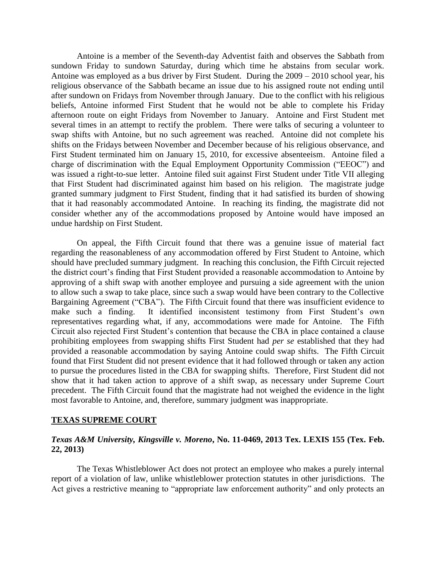Antoine is a member of the Seventh-day Adventist faith and observes the Sabbath from sundown Friday to sundown Saturday, during which time he abstains from secular work. Antoine was employed as a bus driver by First Student. During the 2009 – 2010 school year, his religious observance of the Sabbath became an issue due to his assigned route not ending until after sundown on Fridays from November through January. Due to the conflict with his religious beliefs, Antoine informed First Student that he would not be able to complete his Friday afternoon route on eight Fridays from November to January. Antoine and First Student met several times in an attempt to rectify the problem. There were talks of securing a volunteer to swap shifts with Antoine, but no such agreement was reached. Antoine did not complete his shifts on the Fridays between November and December because of his religious observance, and First Student terminated him on January 15, 2010, for excessive absenteeism. Antoine filed a charge of discrimination with the Equal Employment Opportunity Commission ("EEOC") and was issued a right-to-sue letter. Antoine filed suit against First Student under Title VII alleging that First Student had discriminated against him based on his religion. The magistrate judge granted summary judgment to First Student, finding that it had satisfied its burden of showing that it had reasonably accommodated Antoine. In reaching its finding, the magistrate did not consider whether any of the accommodations proposed by Antoine would have imposed an undue hardship on First Student.

On appeal, the Fifth Circuit found that there was a genuine issue of material fact regarding the reasonableness of any accommodation offered by First Student to Antoine, which should have precluded summary judgment. In reaching this conclusion, the Fifth Circuit rejected the district court's finding that First Student provided a reasonable accommodation to Antoine by approving of a shift swap with another employee and pursuing a side agreement with the union to allow such a swap to take place, since such a swap would have been contrary to the Collective Bargaining Agreement ("CBA"). The Fifth Circuit found that there was insufficient evidence to make such a finding. It identified inconsistent testimony from First Student's own representatives regarding what, if any, accommodations were made for Antoine. The Fifth Circuit also rejected First Student's contention that because the CBA in place contained a clause prohibiting employees from swapping shifts First Student had *per se* established that they had provided a reasonable accommodation by saying Antoine could swap shifts. The Fifth Circuit found that First Student did not present evidence that it had followed through or taken any action to pursue the procedures listed in the CBA for swapping shifts. Therefore, First Student did not show that it had taken action to approve of a shift swap, as necessary under Supreme Court precedent. The Fifth Circuit found that the magistrate had not weighed the evidence in the light most favorable to Antoine, and, therefore, summary judgment was inappropriate.

### **TEXAS SUPREME COURT**

# *Texas A&M University, Kingsville v. Moreno***, No. 11-0469, 2013 Tex. LEXIS 155 (Tex. Feb. 22, 2013)**

The Texas Whistleblower Act does not protect an employee who makes a purely internal report of a violation of law, unlike whistleblower protection statutes in other jurisdictions. The Act gives a restrictive meaning to "appropriate law enforcement authority" and only protects an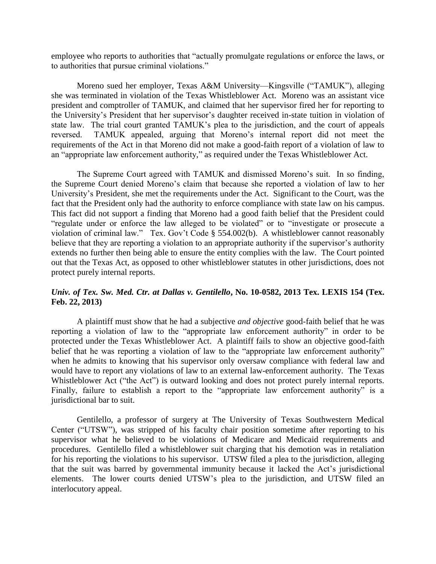employee who reports to authorities that "actually promulgate regulations or enforce the laws, or to authorities that pursue criminal violations."

Moreno sued her employer, Texas A&M University—Kingsville ("TAMUK"), alleging she was terminated in violation of the Texas Whistleblower Act. Moreno was an assistant vice president and comptroller of TAMUK, and claimed that her supervisor fired her for reporting to the University's President that her supervisor's daughter received in-state tuition in violation of state law. The trial court granted TAMUK's plea to the jurisdiction, and the court of appeals reversed. TAMUK appealed, arguing that Moreno's internal report did not meet the requirements of the Act in that Moreno did not make a good-faith report of a violation of law to an "appropriate law enforcement authority," as required under the Texas Whistleblower Act.

The Supreme Court agreed with TAMUK and dismissed Moreno's suit. In so finding, the Supreme Court denied Moreno's claim that because she reported a violation of law to her University's President, she met the requirements under the Act. Significant to the Court, was the fact that the President only had the authority to enforce compliance with state law on his campus. This fact did not support a finding that Moreno had a good faith belief that the President could "regulate under or enforce the law alleged to be violated" or to "investigate or prosecute a violation of criminal law." Tex. Gov't Code § 554.002(b). A whistleblower cannot reasonably believe that they are reporting a violation to an appropriate authority if the supervisor's authority extends no further then being able to ensure the entity complies with the law. The Court pointed out that the Texas Act, as opposed to other whistleblower statutes in other jurisdictions, does not protect purely internal reports.

# *Univ. of Tex. Sw. Med. Ctr. at Dallas v. Gentilello***, No. 10-0582, 2013 Tex. LEXIS 154 (Tex. Feb. 22, 2013)**

A plaintiff must show that he had a subjective *and objective* good-faith belief that he was reporting a violation of law to the "appropriate law enforcement authority" in order to be protected under the Texas Whistleblower Act. A plaintiff fails to show an objective good-faith belief that he was reporting a violation of law to the "appropriate law enforcement authority" when he admits to knowing that his supervisor only oversaw compliance with federal law and would have to report any violations of law to an external law-enforcement authority. The Texas Whistleblower Act ("the Act") is outward looking and does not protect purely internal reports. Finally, failure to establish a report to the "appropriate law enforcement authority" is a jurisdictional bar to suit.

Gentilello, a professor of surgery at The University of Texas Southwestern Medical Center ("UTSW"), was stripped of his faculty chair position sometime after reporting to his supervisor what he believed to be violations of Medicare and Medicaid requirements and procedures. Gentilello filed a whistleblower suit charging that his demotion was in retaliation for his reporting the violations to his supervisor. UTSW filed a plea to the jurisdiction, alleging that the suit was barred by governmental immunity because it lacked the Act's jurisdictional elements. The lower courts denied UTSW's plea to the jurisdiction, and UTSW filed an interlocutory appeal.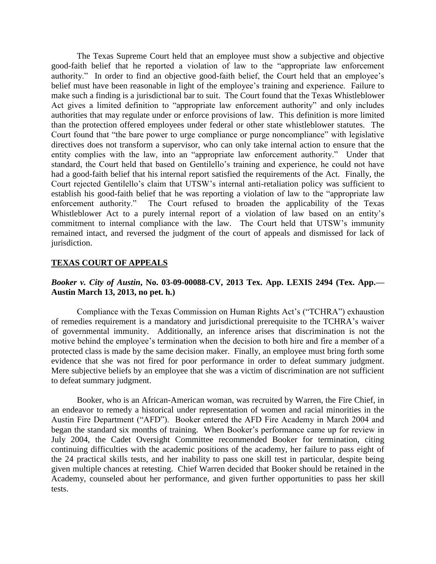The Texas Supreme Court held that an employee must show a subjective and objective good-faith belief that he reported a violation of law to the "appropriate law enforcement authority." In order to find an objective good-faith belief, the Court held that an employee's belief must have been reasonable in light of the employee's training and experience. Failure to make such a finding is a jurisdictional bar to suit. The Court found that the Texas Whistleblower Act gives a limited definition to "appropriate law enforcement authority" and only includes authorities that may regulate under or enforce provisions of law. This definition is more limited than the protection offered employees under federal or other state whistleblower statutes. The Court found that "the bare power to urge compliance or purge noncompliance" with legislative directives does not transform a supervisor, who can only take internal action to ensure that the entity complies with the law, into an "appropriate law enforcement authority." Under that standard, the Court held that based on Gentilello's training and experience, he could not have had a good-faith belief that his internal report satisfied the requirements of the Act. Finally, the Court rejected Gentilello's claim that UTSW's internal anti-retaliation policy was sufficient to establish his good-faith belief that he was reporting a violation of law to the "appropriate law enforcement authority." The Court refused to broaden the applicability of the Texas Whistleblower Act to a purely internal report of a violation of law based on an entity's commitment to internal compliance with the law. The Court held that UTSW's immunity remained intact, and reversed the judgment of the court of appeals and dismissed for lack of jurisdiction.

#### **TEXAS COURT OF APPEALS**

# *Booker v. City of Austin***, No. 03-09-00088-CV, 2013 Tex. App. LEXIS 2494 (Tex. App.— Austin March 13, 2013, no pet. h.)**

Compliance with the Texas Commission on Human Rights Act's ("TCHRA") exhaustion of remedies requirement is a mandatory and jurisdictional prerequisite to the TCHRA's waiver of governmental immunity. Additionally, an inference arises that discrimination is not the motive behind the employee's termination when the decision to both hire and fire a member of a protected class is made by the same decision maker. Finally, an employee must bring forth some evidence that she was not fired for poor performance in order to defeat summary judgment. Mere subjective beliefs by an employee that she was a victim of discrimination are not sufficient to defeat summary judgment.

Booker, who is an African-American woman, was recruited by Warren, the Fire Chief, in an endeavor to remedy a historical under representation of women and racial minorities in the Austin Fire Department ("AFD"). Booker entered the AFD Fire Academy in March 2004 and began the standard six months of training. When Booker's performance came up for review in July 2004, the Cadet Oversight Committee recommended Booker for termination, citing continuing difficulties with the academic positions of the academy, her failure to pass eight of the 24 practical skills tests, and her inability to pass one skill test in particular, despite being given multiple chances at retesting. Chief Warren decided that Booker should be retained in the Academy, counseled about her performance, and given further opportunities to pass her skill tests.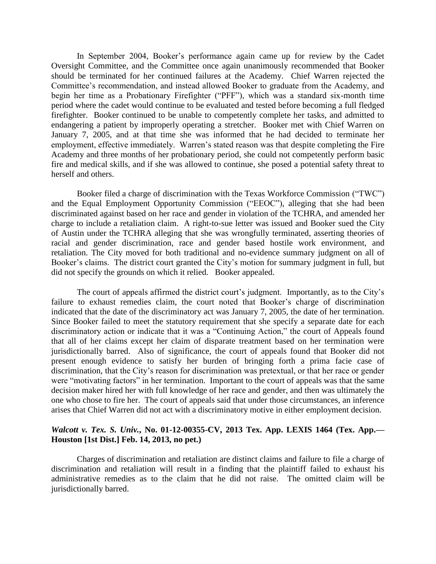In September 2004, Booker's performance again came up for review by the Cadet Oversight Committee, and the Committee once again unanimously recommended that Booker should be terminated for her continued failures at the Academy. Chief Warren rejected the Committee's recommendation, and instead allowed Booker to graduate from the Academy, and begin her time as a Probationary Firefighter ("PFF"), which was a standard six-month time period where the cadet would continue to be evaluated and tested before becoming a full fledged firefighter. Booker continued to be unable to competently complete her tasks, and admitted to endangering a patient by improperly operating a stretcher. Booker met with Chief Warren on January 7, 2005, and at that time she was informed that he had decided to terminate her employment, effective immediately. Warren's stated reason was that despite completing the Fire Academy and three months of her probationary period, she could not competently perform basic fire and medical skills, and if she was allowed to continue, she posed a potential safety threat to herself and others.

Booker filed a charge of discrimination with the Texas Workforce Commission ("TWC") and the Equal Employment Opportunity Commission ("EEOC"), alleging that she had been discriminated against based on her race and gender in violation of the TCHRA, and amended her charge to include a retaliation claim. A right-to-sue letter was issued and Booker sued the City of Austin under the TCHRA alleging that she was wrongfully terminated, asserting theories of racial and gender discrimination, race and gender based hostile work environment, and retaliation. The City moved for both traditional and no-evidence summary judgment on all of Booker's claims. The district court granted the City's motion for summary judgment in full, but did not specify the grounds on which it relied. Booker appealed.

The court of appeals affirmed the district court's judgment. Importantly, as to the City's failure to exhaust remedies claim, the court noted that Booker's charge of discrimination indicated that the date of the discriminatory act was January 7, 2005, the date of her termination. Since Booker failed to meet the statutory requirement that she specify a separate date for each discriminatory action or indicate that it was a "Continuing Action," the court of Appeals found that all of her claims except her claim of disparate treatment based on her termination were jurisdictionally barred. Also of significance, the court of appeals found that Booker did not present enough evidence to satisfy her burden of bringing forth a prima facie case of discrimination, that the City's reason for discrimination was pretextual, or that her race or gender were "motivating factors" in her termination. Important to the court of appeals was that the same decision maker hired her with full knowledge of her race and gender, and then was ultimately the one who chose to fire her. The court of appeals said that under those circumstances, an inference arises that Chief Warren did not act with a discriminatory motive in either employment decision.

### *Walcott v. Tex. S. Univ.***, No. 01-12-00355-CV, 2013 Tex. App. LEXIS 1464 (Tex. App.— Houston [1st Dist.] Feb. 14, 2013, no pet.)**

Charges of discrimination and retaliation are distinct claims and failure to file a charge of discrimination and retaliation will result in a finding that the plaintiff failed to exhaust his administrative remedies as to the claim that he did not raise. The omitted claim will be jurisdictionally barred.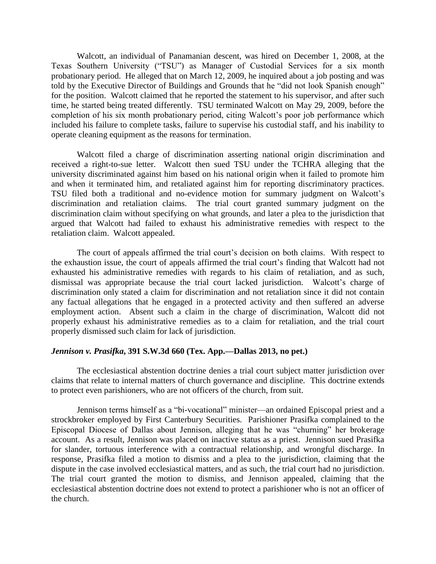Walcott, an individual of Panamanian descent, was hired on December 1, 2008, at the Texas Southern University ("TSU") as Manager of Custodial Services for a six month probationary period. He alleged that on March 12, 2009, he inquired about a job posting and was told by the Executive Director of Buildings and Grounds that he "did not look Spanish enough" for the position. Walcott claimed that he reported the statement to his supervisor, and after such time, he started being treated differently. TSU terminated Walcott on May 29, 2009, before the completion of his six month probationary period, citing Walcott's poor job performance which included his failure to complete tasks, failure to supervise his custodial staff, and his inability to operate cleaning equipment as the reasons for termination.

Walcott filed a charge of discrimination asserting national origin discrimination and received a right-to-sue letter. Walcott then sued TSU under the TCHRA alleging that the university discriminated against him based on his national origin when it failed to promote him and when it terminated him, and retaliated against him for reporting discriminatory practices. TSU filed both a traditional and no-evidence motion for summary judgment on Walcott's discrimination and retaliation claims. The trial court granted summary judgment on the discrimination claim without specifying on what grounds, and later a plea to the jurisdiction that argued that Walcott had failed to exhaust his administrative remedies with respect to the retaliation claim. Walcott appealed.

The court of appeals affirmed the trial court's decision on both claims. With respect to the exhaustion issue, the court of appeals affirmed the trial court's finding that Walcott had not exhausted his administrative remedies with regards to his claim of retaliation, and as such, dismissal was appropriate because the trial court lacked jurisdiction. Walcott's charge of discrimination only stated a claim for discrimination and not retaliation since it did not contain any factual allegations that he engaged in a protected activity and then suffered an adverse employment action. Absent such a claim in the charge of discrimination, Walcott did not properly exhaust his administrative remedies as to a claim for retaliation, and the trial court properly dismissed such claim for lack of jurisdiction.

#### *Jennison v. Prasifka***, 391 S.W.3d 660 (Tex. App.—Dallas 2013, no pet.)**

The ecclesiastical abstention doctrine denies a trial court subject matter jurisdiction over claims that relate to internal matters of church governance and discipline. This doctrine extends to protect even parishioners, who are not officers of the church, from suit.

Jennison terms himself as a "bi-vocational" minister—an ordained Episcopal priest and a strockbroker employed by First Canterbury Securities. Parishioner Prasifka complained to the Episcopal Diocese of Dallas about Jennison, alleging that he was "churning" her brokerage account. As a result, Jennison was placed on inactive status as a priest. Jennison sued Prasifka for slander, tortuous interference with a contractual relationship, and wrongful discharge. In response, Prasifka filed a motion to dismiss and a plea to the jurisdiction, claiming that the dispute in the case involved ecclesiastical matters, and as such, the trial court had no jurisdiction. The trial court granted the motion to dismiss, and Jennison appealed, claiming that the ecclesiastical abstention doctrine does not extend to protect a parishioner who is not an officer of the church.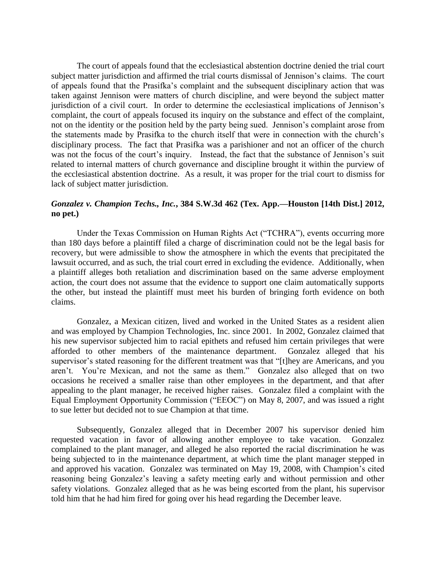The court of appeals found that the ecclesiastical abstention doctrine denied the trial court subject matter jurisdiction and affirmed the trial courts dismissal of Jennison's claims. The court of appeals found that the Prasifka's complaint and the subsequent disciplinary action that was taken against Jennison were matters of church discipline, and were beyond the subject matter jurisdiction of a civil court. In order to determine the ecclesiastical implications of Jennison's complaint, the court of appeals focused its inquiry on the substance and effect of the complaint, not on the identity or the position held by the party being sued. Jennison's complaint arose from the statements made by Prasifka to the church itself that were in connection with the church's disciplinary process. The fact that Prasifka was a parishioner and not an officer of the church was not the focus of the court's inquiry. Instead, the fact that the substance of Jennison's suit related to internal matters of church governance and discipline brought it within the purview of the ecclesiastical abstention doctrine. As a result, it was proper for the trial court to dismiss for lack of subject matter jurisdiction.

## *Gonzalez v. Champion Techs., Inc.***, 384 S.W.3d 462 (Tex. App.—Houston [14th Dist.] 2012, no pet.)**

Under the Texas Commission on Human Rights Act ("TCHRA"), events occurring more than 180 days before a plaintiff filed a charge of discrimination could not be the legal basis for recovery, but were admissible to show the atmosphere in which the events that precipitated the lawsuit occurred, and as such, the trial court erred in excluding the evidence. Additionally, when a plaintiff alleges both retaliation and discrimination based on the same adverse employment action, the court does not assume that the evidence to support one claim automatically supports the other, but instead the plaintiff must meet his burden of bringing forth evidence on both claims.

Gonzalez, a Mexican citizen, lived and worked in the United States as a resident alien and was employed by Champion Technologies, Inc. since 2001. In 2002, Gonzalez claimed that his new supervisor subjected him to racial epithets and refused him certain privileges that were afforded to other members of the maintenance department. Gonzalez alleged that his supervisor's stated reasoning for the different treatment was that "[t]hey are Americans, and you aren't. You're Mexican, and not the same as them." Gonzalez also alleged that on two occasions he received a smaller raise than other employees in the department, and that after appealing to the plant manager, he received higher raises. Gonzalez filed a complaint with the Equal Employment Opportunity Commission ("EEOC") on May 8, 2007, and was issued a right to sue letter but decided not to sue Champion at that time.

Subsequently, Gonzalez alleged that in December 2007 his supervisor denied him requested vacation in favor of allowing another employee to take vacation. Gonzalez complained to the plant manager, and alleged he also reported the racial discrimination he was being subjected to in the maintenance department, at which time the plant manager stepped in and approved his vacation. Gonzalez was terminated on May 19, 2008, with Champion's cited reasoning being Gonzalez's leaving a safety meeting early and without permission and other safety violations. Gonzalez alleged that as he was being escorted from the plant, his supervisor told him that he had him fired for going over his head regarding the December leave.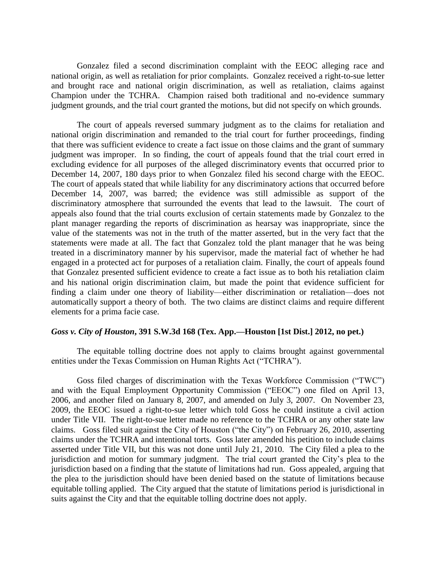Gonzalez filed a second discrimination complaint with the EEOC alleging race and national origin, as well as retaliation for prior complaints. Gonzalez received a right-to-sue letter and brought race and national origin discrimination, as well as retaliation, claims against Champion under the TCHRA. Champion raised both traditional and no-evidence summary judgment grounds, and the trial court granted the motions, but did not specify on which grounds.

The court of appeals reversed summary judgment as to the claims for retaliation and national origin discrimination and remanded to the trial court for further proceedings, finding that there was sufficient evidence to create a fact issue on those claims and the grant of summary judgment was improper. In so finding, the court of appeals found that the trial court erred in excluding evidence for all purposes of the alleged discriminatory events that occurred prior to December 14, 2007, 180 days prior to when Gonzalez filed his second charge with the EEOC. The court of appeals stated that while liability for any discriminatory actions that occurred before December 14, 2007, was barred; the evidence was still admissible as support of the discriminatory atmosphere that surrounded the events that lead to the lawsuit. The court of appeals also found that the trial courts exclusion of certain statements made by Gonzalez to the plant manager regarding the reports of discrimination as hearsay was inappropriate, since the value of the statements was not in the truth of the matter asserted, but in the very fact that the statements were made at all. The fact that Gonzalez told the plant manager that he was being treated in a discriminatory manner by his supervisor, made the material fact of whether he had engaged in a protected act for purposes of a retaliation claim. Finally, the court of appeals found that Gonzalez presented sufficient evidence to create a fact issue as to both his retaliation claim and his national origin discrimination claim, but made the point that evidence sufficient for finding a claim under one theory of liability—either discrimination or retaliation—does not automatically support a theory of both. The two claims are distinct claims and require different elements for a prima facie case.

#### *Goss v. City of Houston***, 391 S.W.3d 168 (Tex. App.—Houston [1st Dist.] 2012, no pet.)**

The equitable tolling doctrine does not apply to claims brought against governmental entities under the Texas Commission on Human Rights Act ("TCHRA").

Goss filed charges of discrimination with the Texas Workforce Commission ("TWC") and with the Equal Employment Opportunity Commission ("EEOC") one filed on April 13, 2006, and another filed on January 8, 2007, and amended on July 3, 2007. On November 23, 2009, the EEOC issued a right-to-sue letter which told Goss he could institute a civil action under Title VII. The right-to-sue letter made no reference to the TCHRA or any other state law claims. Goss filed suit against the City of Houston ("the City") on February 26, 2010, asserting claims under the TCHRA and intentional torts. Goss later amended his petition to include claims asserted under Title VII, but this was not done until July 21, 2010. The City filed a plea to the jurisdiction and motion for summary judgment. The trial court granted the City's plea to the jurisdiction based on a finding that the statute of limitations had run. Goss appealed, arguing that the plea to the jurisdiction should have been denied based on the statute of limitations because equitable tolling applied. The City argued that the statute of limitations period is jurisdictional in suits against the City and that the equitable tolling doctrine does not apply.